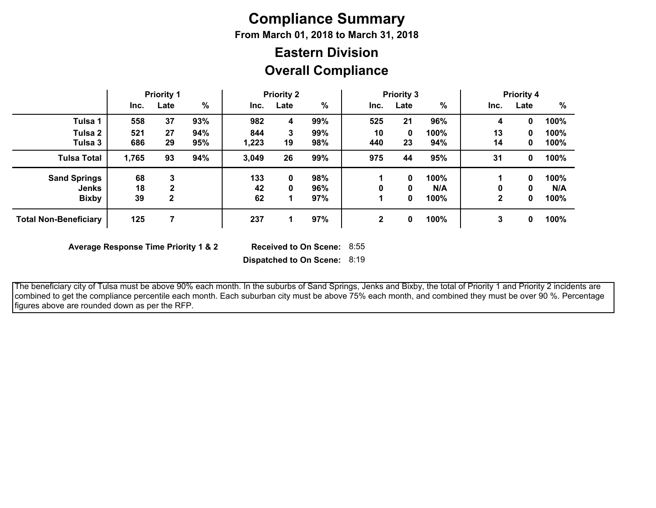# **Compliance Summary**

**From March 01, 2018 to March 31, 2018**

## **Overall Compliance Eastern Division**

|                                     | <b>Priority 1</b> |                   |            | <b>Priority 2</b> |         |            | <b>Priority 3</b> |         |             | <b>Priority 4</b> |        |              |
|-------------------------------------|-------------------|-------------------|------------|-------------------|---------|------------|-------------------|---------|-------------|-------------------|--------|--------------|
|                                     | Inc.              | Late              | %          | Inc.              | Late    | $\%$       | Inc.              | Late    | %           | Inc.              | Late   | %            |
| Tulsa 1                             | 558               | 37                | 93%        | 982               | 4       | 99%        | 525               | 21      | 96%         | 4                 | 0      | 100%         |
| Tulsa 2<br>Tulsa 3                  | 521<br>686        | 27<br>29          | 94%<br>95% | 844<br>1,223      | 3<br>19 | 99%<br>98% | 10<br>440         | 0<br>23 | 100%<br>94% | 13<br>14          | 0<br>0 | 100%<br>100% |
| <b>Tulsa Total</b>                  | 1,765             | 93                | 94%        | 3,049             | 26      | 99%        | 975               | 44      | 95%         | 31                | 0      | 100%         |
| <b>Sand Springs</b><br><b>Jenks</b> | 68<br>18          | 3<br>$\mathbf{2}$ |            | 133<br>42         | 0<br>0  | 98%<br>96% | 0                 | 0<br>0  | 100%<br>N/A | 0                 | 0<br>0 | 100%<br>N/A  |
| <b>Bixby</b>                        | 39                | 2                 |            | 62                |         | 97%        |                   | 0       | 100%        | $\mathbf{2}$      | 0      | 100%         |
| <b>Total Non-Beneficiary</b>        | 125               |                   |            | 237               |         | 97%        | $\mathbf 2$       | 0       | 100%        | 3                 | 0      | 100%         |

**Average Response Time Priority 1 & 2** 

Received to On Scene: 8:55

**Dispatched to On Scene:** 8:19

 The beneficiary city of Tulsa must be above 90% each month. In the suburbs of Sand Springs, Jenks and Bixby, the total of Priority 1 and Priority 2 incidents are combined to get the compliance percentile each month. Each suburban city must be above 75% each month, and combined they must be over 90 %. Percentage figures above are rounded down as per the RFP.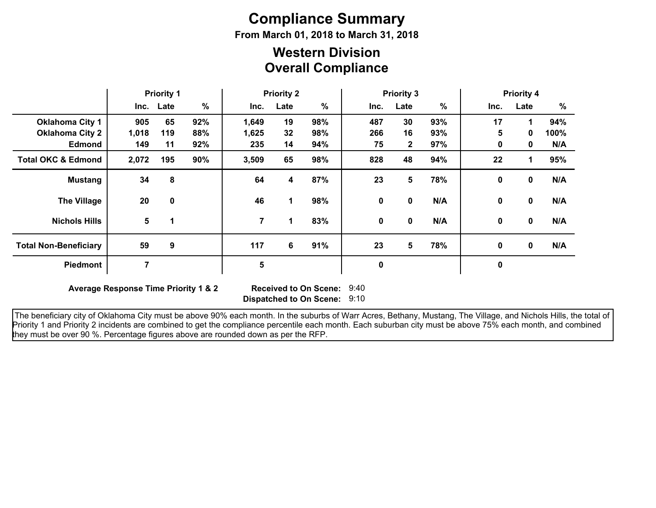# **Compliance Summary**

**From March 01, 2018 to March 31, 2018**

### **Overall Compliance Western Division**

|                               | <b>Priority 1</b> |                      | <b>Priority 2</b> |                |      | <b>Priority 3</b> |             |                |     | <b>Priority 4</b> |              |      |
|-------------------------------|-------------------|----------------------|-------------------|----------------|------|-------------------|-------------|----------------|-----|-------------------|--------------|------|
|                               |                   | Inc. Late            | $\frac{9}{6}$     | Inc.           | Late | $\%$              | Inc.        | Late           | %   | Inc.              | Late         | $\%$ |
| <b>Oklahoma City 1</b>        | 905               | 65                   | 92%               | 1,649          | 19   | 98%               | 487         | 30             | 93% | 17                | 1            | 94%  |
| <b>Oklahoma City 2</b>        | 1,018             | 119                  | 88%               | 1,625          | 32   | 98%               | 266         | 16             | 93% | 5                 | 0            | 100% |
| <b>Edmond</b>                 | 149               | 11                   | 92%               | 235            | 14   | 94%               | 75          | $\overline{2}$ | 97% | 0                 | 0            | N/A  |
| <b>Total OKC &amp; Edmond</b> | 2,072             | 195                  | 90%               | 3,509          | 65   | 98%               | 828         | 48             | 94% | 22                | 1            | 95%  |
| <b>Mustang</b>                | 34                | 8                    |                   | 64             | 4    | 87%               | 23          | 5              | 78% | $\mathbf 0$       | 0            | N/A  |
| <b>The Village</b>            | 20                | 0                    |                   | 46             | 1    | 98%               | 0           | 0              | N/A | 0                 | $\mathbf 0$  | N/A  |
| <b>Nichols Hills</b>          | 5                 | $\blacktriangleleft$ |                   | $\overline{7}$ | 1    | 83%               | $\mathbf 0$ | $\mathbf{0}$   | N/A | 0                 | $\mathbf{0}$ | N/A  |
| <b>Total Non-Beneficiary</b>  | 59                | 9                    |                   | 117            | 6    | 91%               | 23          | 5              | 78% | 0                 | 0            | N/A  |
| <b>Piedmont</b>               | 7                 |                      |                   | 5              |      |                   | 0           |                |     | $\pmb{0}$         |              |      |

**Average Response Time Priority 1 & 2** 

**Dispatched to On Scene:** 9:10 Received to On Scene: 9:40

 The beneficiary city of Oklahoma City must be above 90% each month. In the suburbs of Warr Acres, Bethany, Mustang, The Village, and Nichols Hills, the total of Priority 1 and Priority 2 incidents are combined to get the compliance percentile each month. Each suburban city must be above 75% each month, and combined they must be over 90 %. Percentage figures above are rounded down as per the RFP.